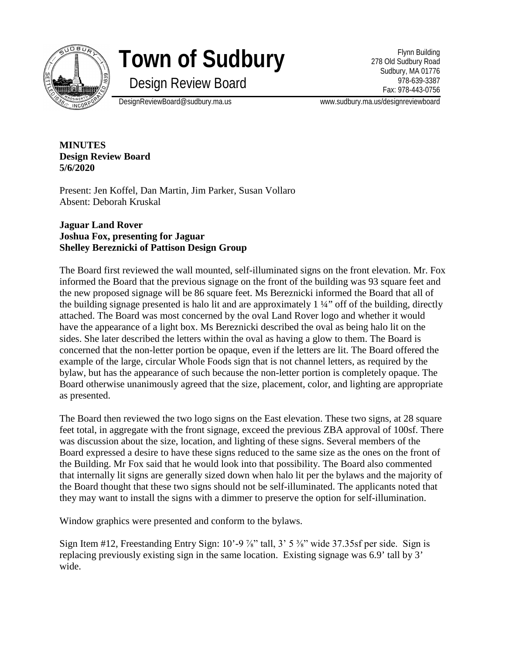

# **Town of Sudbury**

Design Review Board

Flynn Building 278 Old Sudbury Road Sudbury, MA 01776 978-639-3387 Fax: 978-443-0756

DesignReviewBoard@sudbury.ma.us www.sudbury.ma.us/designreviewboard

**MINUTES Design Review Board 5/6/2020**

Present: Jen Koffel, Dan Martin, Jim Parker, Susan Vollaro Absent: Deborah Kruskal

## **Jaguar Land Rover Joshua Fox, presenting for Jaguar Shelley Bereznicki of Pattison Design Group**

The Board first reviewed the wall mounted, self-illuminated signs on the front elevation. Mr. Fox informed the Board that the previous signage on the front of the building was 93 square feet and the new proposed signage will be 86 square feet. Ms Bereznicki informed the Board that all of the building signage presented is halo lit and are approximately 1 ¼" off of the building, directly attached. The Board was most concerned by the oval Land Rover logo and whether it would have the appearance of a light box. Ms Bereznicki described the oval as being halo lit on the sides. She later described the letters within the oval as having a glow to them. The Board is concerned that the non-letter portion be opaque, even if the letters are lit. The Board offered the example of the large, circular Whole Foods sign that is not channel letters, as required by the bylaw, but has the appearance of such because the non-letter portion is completely opaque. The Board otherwise unanimously agreed that the size, placement, color, and lighting are appropriate as presented.

The Board then reviewed the two logo signs on the East elevation. These two signs, at 28 square feet total, in aggregate with the front signage, exceed the previous ZBA approval of 100sf. There was discussion about the size, location, and lighting of these signs. Several members of the Board expressed a desire to have these signs reduced to the same size as the ones on the front of the Building. Mr Fox said that he would look into that possibility. The Board also commented that internally lit signs are generally sized down when halo lit per the bylaws and the majority of the Board thought that these two signs should not be self-illuminated. The applicants noted that they may want to install the signs with a dimmer to preserve the option for self-illumination.

Window graphics were presented and conform to the bylaws.

Sign Item #12, Freestanding Entry Sign:  $10'$ -9  $\frac{7}{8}$ " tall,  $3'$  5  $\frac{3}{8}$ " wide 37.35sf per side. Sign is replacing previously existing sign in the same location. Existing signage was 6.9' tall by 3' wide.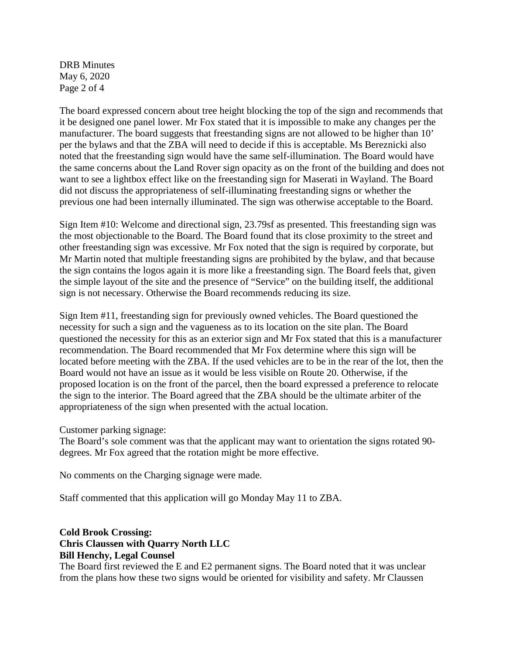DRB Minutes May 6, 2020 Page 2 of 4

The board expressed concern about tree height blocking the top of the sign and recommends that it be designed one panel lower. Mr Fox stated that it is impossible to make any changes per the manufacturer. The board suggests that freestanding signs are not allowed to be higher than 10' per the bylaws and that the ZBA will need to decide if this is acceptable. Ms Bereznicki also noted that the freestanding sign would have the same self-illumination. The Board would have the same concerns about the Land Rover sign opacity as on the front of the building and does not want to see a lightbox effect like on the freestanding sign for Maserati in Wayland. The Board did not discuss the appropriateness of self-illuminating freestanding signs or whether the previous one had been internally illuminated. The sign was otherwise acceptable to the Board.

Sign Item #10: Welcome and directional sign, 23.79sf as presented. This freestanding sign was the most objectionable to the Board. The Board found that its close proximity to the street and other freestanding sign was excessive. Mr Fox noted that the sign is required by corporate, but Mr Martin noted that multiple freestanding signs are prohibited by the bylaw, and that because the sign contains the logos again it is more like a freestanding sign. The Board feels that, given the simple layout of the site and the presence of "Service" on the building itself, the additional sign is not necessary. Otherwise the Board recommends reducing its size.

Sign Item #11, freestanding sign for previously owned vehicles. The Board questioned the necessity for such a sign and the vagueness as to its location on the site plan. The Board questioned the necessity for this as an exterior sign and Mr Fox stated that this is a manufacturer recommendation. The Board recommended that Mr Fox determine where this sign will be located before meeting with the ZBA. If the used vehicles are to be in the rear of the lot, then the Board would not have an issue as it would be less visible on Route 20. Otherwise, if the proposed location is on the front of the parcel, then the board expressed a preference to relocate the sign to the interior. The Board agreed that the ZBA should be the ultimate arbiter of the appropriateness of the sign when presented with the actual location.

Customer parking signage:

The Board's sole comment was that the applicant may want to orientation the signs rotated 90 degrees. Mr Fox agreed that the rotation might be more effective.

No comments on the Charging signage were made.

Staff commented that this application will go Monday May 11 to ZBA.

## **Cold Brook Crossing: Chris Claussen with Quarry North LLC Bill Henchy, Legal Counsel**

The Board first reviewed the E and E2 permanent signs. The Board noted that it was unclear from the plans how these two signs would be oriented for visibility and safety. Mr Claussen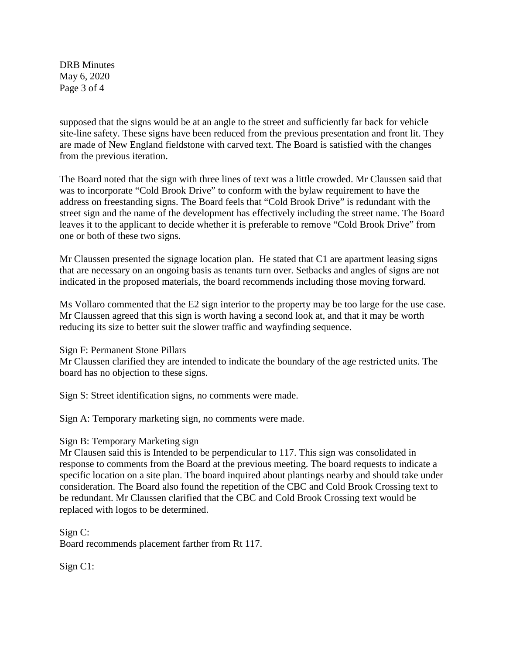DRB Minutes May 6, 2020 Page 3 of 4

supposed that the signs would be at an angle to the street and sufficiently far back for vehicle site-line safety. These signs have been reduced from the previous presentation and front lit. They are made of New England fieldstone with carved text. The Board is satisfied with the changes from the previous iteration.

The Board noted that the sign with three lines of text was a little crowded. Mr Claussen said that was to incorporate "Cold Brook Drive" to conform with the bylaw requirement to have the address on freestanding signs. The Board feels that "Cold Brook Drive" is redundant with the street sign and the name of the development has effectively including the street name. The Board leaves it to the applicant to decide whether it is preferable to remove "Cold Brook Drive" from one or both of these two signs.

Mr Claussen presented the signage location plan. He stated that C1 are apartment leasing signs that are necessary on an ongoing basis as tenants turn over. Setbacks and angles of signs are not indicated in the proposed materials, the board recommends including those moving forward.

Ms Vollaro commented that the E2 sign interior to the property may be too large for the use case. Mr Claussen agreed that this sign is worth having a second look at, and that it may be worth reducing its size to better suit the slower traffic and wayfinding sequence.

Sign F: Permanent Stone Pillars

Mr Claussen clarified they are intended to indicate the boundary of the age restricted units. The board has no objection to these signs.

Sign S: Street identification signs, no comments were made.

Sign A: Temporary marketing sign, no comments were made.

#### Sign B: Temporary Marketing sign

Mr Clausen said this is Intended to be perpendicular to 117. This sign was consolidated in response to comments from the Board at the previous meeting. The board requests to indicate a specific location on a site plan. The board inquired about plantings nearby and should take under consideration. The Board also found the repetition of the CBC and Cold Brook Crossing text to be redundant. Mr Claussen clarified that the CBC and Cold Brook Crossing text would be replaced with logos to be determined.

Sign C: Board recommends placement farther from Rt 117.

Sign C1: